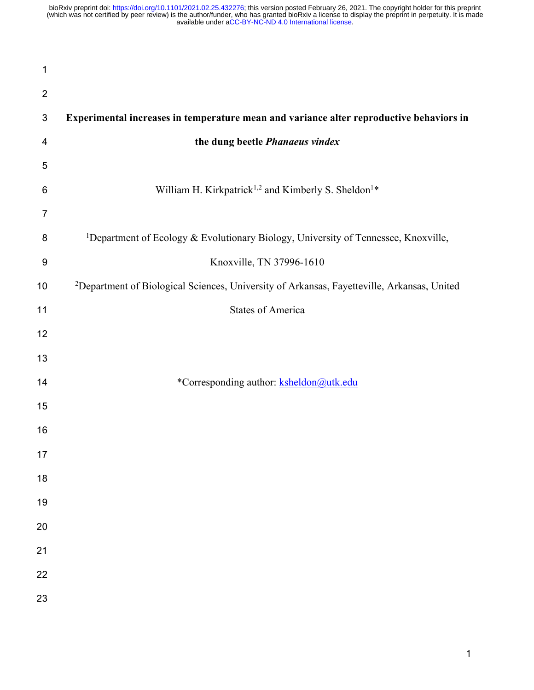| 1              |                                                                                                        |
|----------------|--------------------------------------------------------------------------------------------------------|
| $\overline{2}$ |                                                                                                        |
| $\sqrt{3}$     | Experimental increases in temperature mean and variance alter reproductive behaviors in                |
| 4              | the dung beetle Phanaeus vindex                                                                        |
| 5              |                                                                                                        |
| 6              | William H. Kirkpatrick <sup>1,2</sup> and Kimberly S. Sheldon <sup>1*</sup>                            |
| 7              |                                                                                                        |
| 8              | <sup>1</sup> Department of Ecology & Evolutionary Biology, University of Tennessee, Knoxville,         |
| 9              | Knoxville, TN 37996-1610                                                                               |
| 10             | <sup>2</sup> Department of Biological Sciences, University of Arkansas, Fayetteville, Arkansas, United |
| 11             | <b>States of America</b>                                                                               |
| 12             |                                                                                                        |
| 13             |                                                                                                        |
| 14             | *Corresponding author: ksheldon@utk.edu                                                                |
| 15             |                                                                                                        |
| 16             |                                                                                                        |
| 17             |                                                                                                        |
| 18             |                                                                                                        |
| 19             |                                                                                                        |
| 20             |                                                                                                        |
| 21             |                                                                                                        |
| 22             |                                                                                                        |
| 23             |                                                                                                        |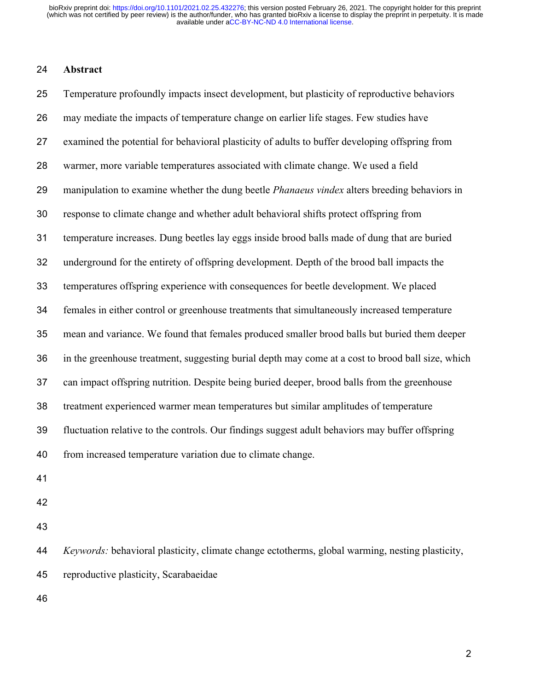### **Abstract**

 Temperature profoundly impacts insect development, but plasticity of reproductive behaviors may mediate the impacts of temperature change on earlier life stages. Few studies have examined the potential for behavioral plasticity of adults to buffer developing offspring from warmer, more variable temperatures associated with climate change. We used a field manipulation to examine whether the dung beetle *Phanaeus vindex* alters breeding behaviors in response to climate change and whether adult behavioral shifts protect offspring from temperature increases. Dung beetles lay eggs inside brood balls made of dung that are buried underground for the entirety of offspring development. Depth of the brood ball impacts the temperatures offspring experience with consequences for beetle development. We placed females in either control or greenhouse treatments that simultaneously increased temperature mean and variance. We found that females produced smaller brood balls but buried them deeper in the greenhouse treatment, suggesting burial depth may come at a cost to brood ball size, which can impact offspring nutrition. Despite being buried deeper, brood balls from the greenhouse treatment experienced warmer mean temperatures but similar amplitudes of temperature fluctuation relative to the controls. Our findings suggest adult behaviors may buffer offspring from increased temperature variation due to climate change.

- 
- 
- 

 *Keywords:* behavioral plasticity, climate change ectotherms, global warming, nesting plasticity, reproductive plasticity, Scarabaeidae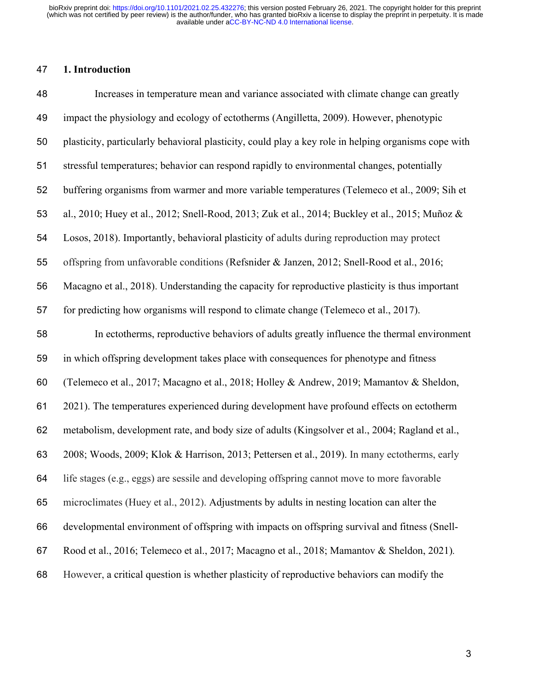## **1. Introduction**

| 48 | Increases in temperature mean and variance associated with climate change can greatly                |
|----|------------------------------------------------------------------------------------------------------|
| 49 | impact the physiology and ecology of ectotherms (Angilletta, 2009). However, phenotypic              |
| 50 | plasticity, particularly behavioral plasticity, could play a key role in helping organisms cope with |
| 51 | stressful temperatures; behavior can respond rapidly to environmental changes, potentially           |
| 52 | buffering organisms from warmer and more variable temperatures (Telemeco et al., 2009; Sih et        |
| 53 | al., 2010; Huey et al., 2012; Snell-Rood, 2013; Zuk et al., 2014; Buckley et al., 2015; Muñoz &      |
| 54 | Losos, 2018). Importantly, behavioral plasticity of adults during reproduction may protect           |
| 55 | offspring from unfavorable conditions (Refsnider & Janzen, 2012; Snell-Rood et al., 2016;            |
| 56 | Macagno et al., 2018). Understanding the capacity for reproductive plasticity is thus important      |
| 57 | for predicting how organisms will respond to climate change (Telemeco et al., 2017).                 |
| 58 | In ectotherms, reproductive behaviors of adults greatly influence the thermal environment            |
| 59 | in which offspring development takes place with consequences for phenotype and fitness               |
| 60 | (Telemeco et al., 2017; Macagno et al., 2018; Holley & Andrew, 2019; Mamantov & Sheldon,             |
| 61 | 2021). The temperatures experienced during development have profound effects on ectotherm            |
| 62 | metabolism, development rate, and body size of adults (Kingsolver et al., 2004; Ragland et al.,      |
| 63 | 2008; Woods, 2009; Klok & Harrison, 2013; Pettersen et al., 2019). In many ectotherms, early         |
| 64 | life stages (e.g., eggs) are sessile and developing offspring cannot move to more favorable          |
| 65 | microclimates (Huey et al., 2012). Adjustments by adults in nesting location can alter the           |
| 66 | developmental environment of offspring with impacts on offspring survival and fitness (Snell-        |
| 67 | Rood et al., 2016; Telemeco et al., 2017; Macagno et al., 2018; Mamantov & Sheldon, 2021).           |
| 68 | However, a critical question is whether plasticity of reproductive behaviors can modify the          |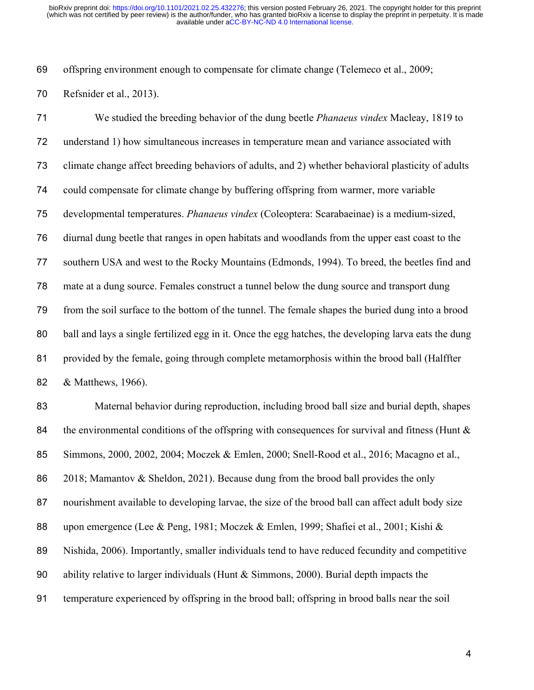offspring environment enough to compensate for climate change (Telemeco et al., 2009; Refsnider et al., 2013).

 We studied the breeding behavior of the dung beetle *Phanaeus vindex* Macleay, 1819 to understand 1) how simultaneous increases in temperature mean and variance associated with climate change affect breeding behaviors of adults, and 2) whether behavioral plasticity of adults could compensate for climate change by buffering offspring from warmer, more variable developmental temperatures. *Phanaeus vindex* (Coleoptera: Scarabaeinae) is a medium-sized, diurnal dung beetle that ranges in open habitats and woodlands from the upper east coast to the southern USA and west to the Rocky Mountains (Edmonds, 1994). To breed, the beetles find and mate at a dung source. Females construct a tunnel below the dung source and transport dung from the soil surface to the bottom of the tunnel. The female shapes the buried dung into a brood ball and lays a single fertilized egg in it. Once the egg hatches, the developing larva eats the dung provided by the female, going through complete metamorphosis within the brood ball (Halffter & Matthews, 1966).

 Maternal behavior during reproduction, including brood ball size and burial depth, shapes 84 the environmental conditions of the offspring with consequences for survival and fitness (Hunt  $\&$  Simmons, 2000, 2002, 2004; Moczek & Emlen, 2000; Snell-Rood et al., 2016; Macagno et al., 2018; Mamantov & Sheldon, 2021). Because dung from the brood ball provides the only nourishment available to developing larvae, the size of the brood ball can affect adult body size 88 upon emergence (Lee & Peng, 1981; Moczek & Emlen, 1999; Shafiei et al., 2001; Kishi & Nishida, 2006). Importantly, smaller individuals tend to have reduced fecundity and competitive ability relative to larger individuals (Hunt & Simmons, 2000). Burial depth impacts the temperature experienced by offspring in the brood ball; offspring in brood balls near the soil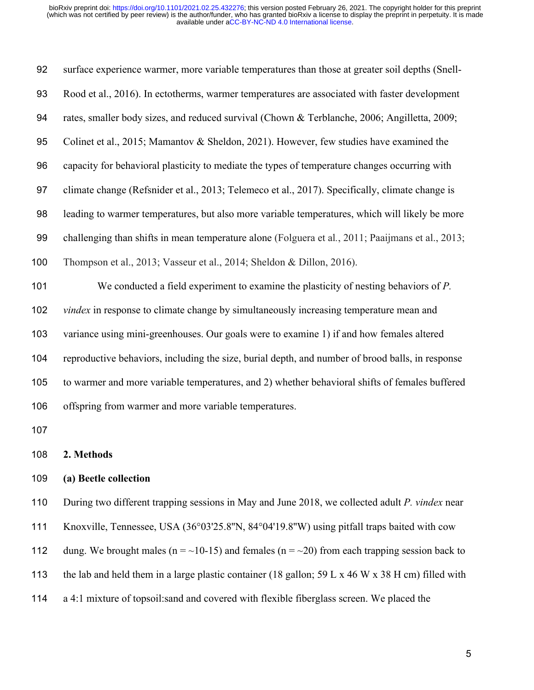| 92  | surface experience warmer, more variable temperatures than those at greater soil depths (Snell-   |
|-----|---------------------------------------------------------------------------------------------------|
| 93  | Rood et al., 2016). In ectotherms, warmer temperatures are associated with faster development     |
| 94  | rates, smaller body sizes, and reduced survival (Chown & Terblanche, 2006; Angilletta, 2009;      |
| 95  | Colinet et al., 2015; Mamantov & Sheldon, 2021). However, few studies have examined the           |
| 96  | capacity for behavioral plasticity to mediate the types of temperature changes occurring with     |
| 97  | climate change (Refsnider et al., 2013; Telemeco et al., 2017). Specifically, climate change is   |
| 98  | leading to warmer temperatures, but also more variable temperatures, which will likely be more    |
| 99  | challenging than shifts in mean temperature alone (Folguera et al., 2011; Paaijmans et al., 2013; |
| 100 | Thompson et al., 2013; Vasseur et al., 2014; Sheldon & Dillon, 2016).                             |
| 101 | We conducted a field experiment to examine the plasticity of nesting behaviors of $P$ .           |
| 102 | <i>vindex</i> in response to climate change by simultaneously increasing temperature mean and     |
| 103 | variance using mini-greenhouses. Our goals were to examine 1) if and how females altered          |
| 104 | reproductive behaviors, including the size, burial depth, and number of brood balls, in response  |
| 105 | to warmer and more variable temperatures, and 2) whether behavioral shifts of females buffered    |
| 106 | offspring from warmer and more variable temperatures.                                             |
| 107 |                                                                                                   |
| 108 | 2. Methods                                                                                        |
| 109 | (a) Beetle collection                                                                             |
| 110 | During two different trapping sessions in May and June 2018, we collected adult P. vindex near    |

Knoxville, Tennessee, USA (36°03'25.8''N, 84°04'19.8''W) using pitfall traps baited with cow

112 dung. We brought males ( $n = \frac{10-15}{5}$ ) and females ( $n = \frac{20}{5}$ ) from each trapping session back to

the lab and held them in a large plastic container (18 gallon; 59 L x 46 W x 38 H cm) filled with

a 4:1 mixture of topsoil:sand and covered with flexible fiberglass screen. We placed the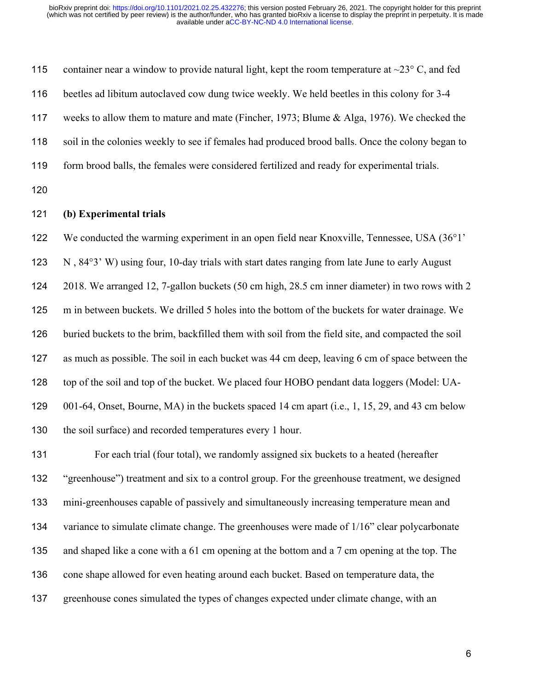| 115 | container near a window to provide natural light, kept the room temperature at $\sim$ 23° C, and fed |
|-----|------------------------------------------------------------------------------------------------------|
| 116 | beetles ad libitum autoclaved cow dung twice weekly. We held beetles in this colony for 3-4          |
| 117 | weeks to allow them to mature and mate (Fincher, 1973; Blume & Alga, 1976). We checked the           |
| 118 | soil in the colonies weekly to see if females had produced brood balls. Once the colony began to     |
| 119 | form brood balls, the females were considered fertilized and ready for experimental trials.          |
| 120 |                                                                                                      |
| 121 | (b) Experimental trials                                                                              |
| 122 | We conducted the warming experiment in an open field near Knoxville, Tennessee, USA (36°1'           |
| 123 | N, 84°3' W) using four, 10-day trials with start dates ranging from late June to early August        |

 2018. We arranged 12, 7-gallon buckets (50 cm high, 28.5 cm inner diameter) in two rows with 2 m in between buckets. We drilled 5 holes into the bottom of the buckets for water drainage. We buried buckets to the brim, backfilled them with soil from the field site, and compacted the soil as much as possible. The soil in each bucket was 44 cm deep, leaving 6 cm of space between the top of the soil and top of the bucket. We placed four HOBO pendant data loggers (Model: UA- 001-64, Onset, Bourne, MA) in the buckets spaced 14 cm apart (i.e., 1, 15, 29, and 43 cm below 130 the soil surface) and recorded temperatures every 1 hour.

 For each trial (four total), we randomly assigned six buckets to a heated (hereafter "greenhouse") treatment and six to a control group. For the greenhouse treatment, we designed mini-greenhouses capable of passively and simultaneously increasing temperature mean and 134 variance to simulate climate change. The greenhouses were made of 1/16" clear polycarbonate and shaped like a cone with a 61 cm opening at the bottom and a 7 cm opening at the top. The 136 cone shape allowed for even heating around each bucket. Based on temperature data, the greenhouse cones simulated the types of changes expected under climate change, with an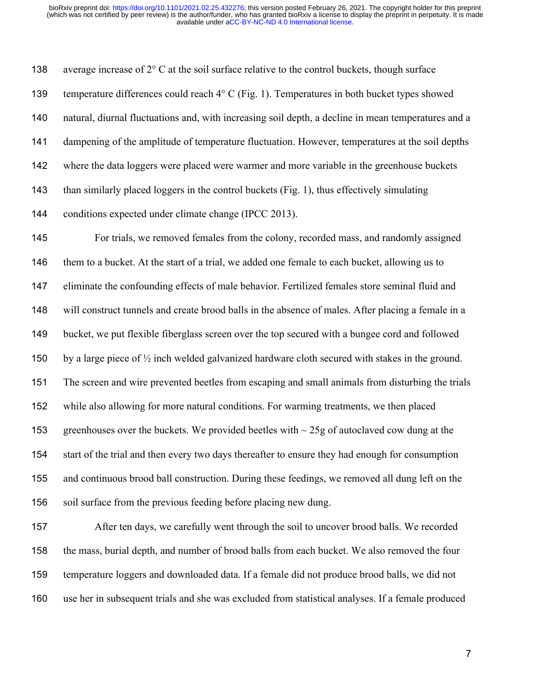138 average increase of  $2^{\circ}$  C at the soil surface relative to the control buckets, though surface 139 temperature differences could reach  $4^{\circ}$  C (Fig. 1). Temperatures in both bucket types showed natural, diurnal fluctuations and, with increasing soil depth, a decline in mean temperatures and a 141 dampening of the amplitude of temperature fluctuation. However, temperatures at the soil depths where the data loggers were placed were warmer and more variable in the greenhouse buckets 143 than similarly placed loggers in the control buckets (Fig. 1), thus effectively simulating conditions expected under climate change (IPCC 2013). For trials, we removed females from the colony, recorded mass, and randomly assigned 146 them to a bucket. At the start of a trial, we added one female to each bucket, allowing us to eliminate the confounding effects of male behavior. Fertilized females store seminal fluid and will construct tunnels and create brood balls in the absence of males. After placing a female in a bucket, we put flexible fiberglass screen over the top secured with a bungee cord and followed by a large piece of ½ inch welded galvanized hardware cloth secured with stakes in the ground. The screen and wire prevented beetles from escaping and small animals from disturbing the trials while also allowing for more natural conditions. For warming treatments, we then placed 153 greenhouses over the buckets. We provided beetles with  $\sim$  25g of autoclaved cow dung at the start of the trial and then every two days thereafter to ensure they had enough for consumption and continuous brood ball construction. During these feedings, we removed all dung left on the soil surface from the previous feeding before placing new dung. After ten days, we carefully went through the soil to uncover brood balls. We recorded the mass, burial depth, and number of brood balls from each bucket. We also removed the four

use her in subsequent trials and she was excluded from statistical analyses. If a female produced

temperature loggers and downloaded data. If a female did not produce brood balls, we did not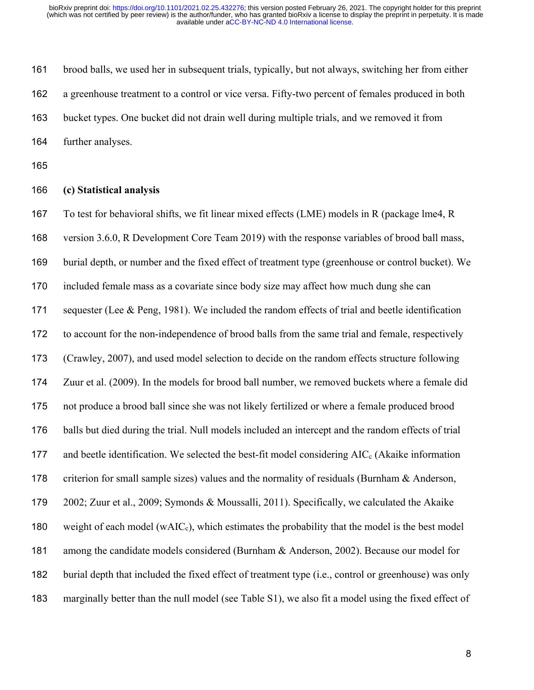brood balls, we used her in subsequent trials, typically, but not always, switching her from either a greenhouse treatment to a control or vice versa. Fifty-two percent of females produced in both bucket types. One bucket did not drain well during multiple trials, and we removed it from further analyses.

#### **(c) Statistical analysis**

To test for behavioral shifts, we fit linear mixed effects (LME) models in R (package lme4, R

version 3.6.0, R Development Core Team 2019) with the response variables of brood ball mass,

burial depth, or number and the fixed effect of treatment type (greenhouse or control bucket). We

included female mass as a covariate since body size may affect how much dung she can

sequester (Lee & Peng, 1981). We included the random effects of trial and beetle identification

to account for the non-independence of brood balls from the same trial and female, respectively

(Crawley, 2007), and used model selection to decide on the random effects structure following

Zuur et al. (2009). In the models for brood ball number, we removed buckets where a female did

not produce a brood ball since she was not likely fertilized or where a female produced brood

 balls but died during the trial. Null models included an intercept and the random effects of trial 177 and beetle identification. We selected the best-fit model considering  $AIC_c$  (Akaike information

178 criterion for small sample sizes) values and the normality of residuals (Burnham & Anderson,

2002; Zuur et al., 2009; Symonds & Moussalli, 2011). Specifically, we calculated the Akaike

180 weight of each model (wAIC<sub>c</sub>), which estimates the probability that the model is the best model

181 among the candidate models considered (Burnham & Anderson, 2002). Because our model for

 burial depth that included the fixed effect of treatment type (i.e., control or greenhouse) was only marginally better than the null model (see Table S1), we also fit a model using the fixed effect of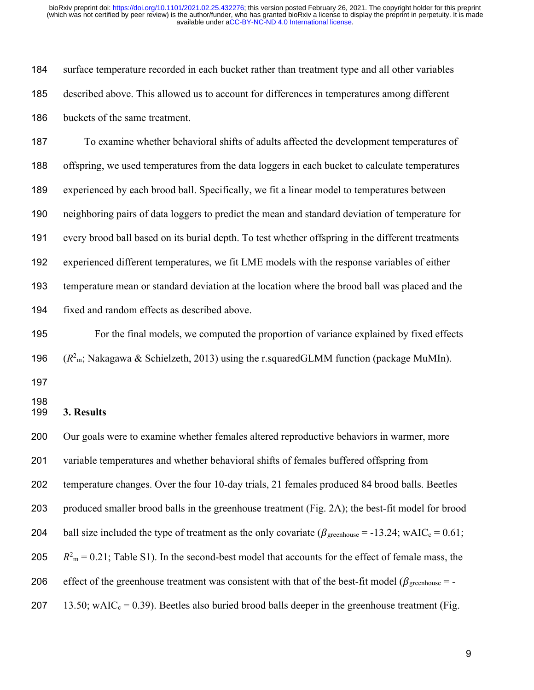surface temperature recorded in each bucket rather than treatment type and all other variables described above. This allowed us to account for differences in temperatures among different buckets of the same treatment.

 To examine whether behavioral shifts of adults affected the development temperatures of offspring, we used temperatures from the data loggers in each bucket to calculate temperatures experienced by each brood ball. Specifically, we fit a linear model to temperatures between neighboring pairs of data loggers to predict the mean and standard deviation of temperature for every brood ball based on its burial depth. To test whether offspring in the different treatments experienced different temperatures, we fit LME models with the response variables of either temperature mean or standard deviation at the location where the brood ball was placed and the fixed and random effects as described above.

 For the final models, we computed the proportion of variance explained by fixed effects 196  $(R^2_m; Nakagawa & Schielzeth, 2013)$  using the r.squaredGLMM function (package MuMIn).

#### **3. Results**

 Our goals were to examine whether females altered reproductive behaviors in warmer, more variable temperatures and whether behavioral shifts of females buffered offspring from temperature changes. Over the four 10-day trials, 21 females produced 84 brood balls. Beetles produced smaller brood balls in the greenhouse treatment (Fig. 2A); the best-fit model for brood 204 ball size included the type of treatment as the only covariate ( $\beta_{\text{greenhouse}} = -13.24$ ; wAIC<sub>c</sub> = 0.61;  $R^2$ <sub>m</sub> = 0.21; Table S1). In the second-best model that accounts for the effect of female mass, the 206 effect of the greenhouse treatment was consistent with that of the best-fit model ( $\beta$ <sub>greenhouse</sub> = -207 13.50; wAIC<sub>c</sub> = 0.39). Beetles also buried brood balls deeper in the greenhouse treatment (Fig.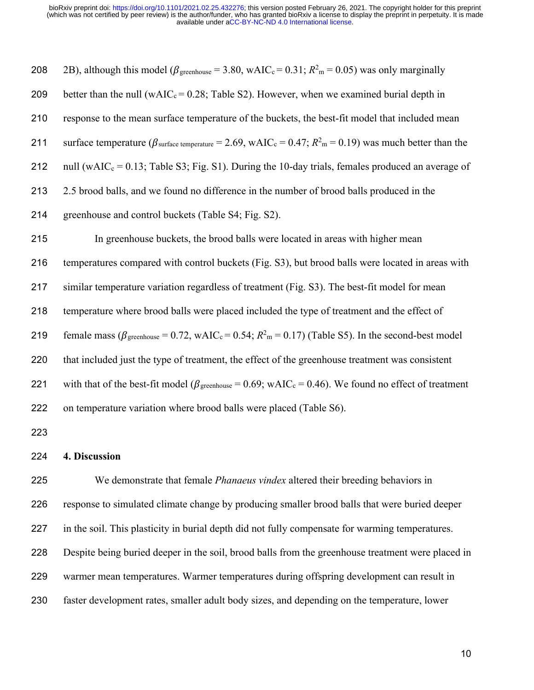| 208 | 2B), although this model ( $\beta$ <sub>greenhouse</sub> = 3.80, wAIC <sub>c</sub> = 0.31; $R^2$ <sub>m</sub> = 0.05) was only marginally      |
|-----|------------------------------------------------------------------------------------------------------------------------------------------------|
| 209 | better than the null (wAIC <sub>c</sub> = 0.28; Table S2). However, when we examined burial depth in                                           |
| 210 | response to the mean surface temperature of the buckets, the best-fit model that included mean                                                 |
| 211 | surface temperature ( $\beta_{\text{surface temperature}}$ = 2.69, wAIC <sub>c</sub> = 0.47; $R_{\text{m}}^2$ = 0.19) was much better than the |
| 212 | null (wAIC <sub>c</sub> = 0.13; Table S3; Fig. S1). During the 10-day trials, females produced an average of                                   |
| 213 | 2.5 brood balls, and we found no difference in the number of brood balls produced in the                                                       |
| 214 | greenhouse and control buckets (Table S4; Fig. S2).                                                                                            |
| 215 | In greenhouse buckets, the brood balls were located in areas with higher mean                                                                  |
| 216 | temperatures compared with control buckets (Fig. S3), but brood balls were located in areas with                                               |
| 217 | similar temperature variation regardless of treatment (Fig. S3). The best-fit model for mean                                                   |
| 218 | temperature where brood balls were placed included the type of treatment and the effect of                                                     |
| 219 | female mass ( $\beta$ <sub>greenhouse</sub> = 0.72, wAIC <sub>c</sub> = 0.54; $R^2$ <sub>m</sub> = 0.17) (Table S5). In the second-best model  |
| 220 | that included just the type of treatment, the effect of the greenhouse treatment was consistent                                                |
| 221 | with that of the best-fit model ( $\beta$ <sub>greenhouse</sub> = 0.69; wAIC <sub>c</sub> = 0.46). We found no effect of treatment             |
| 222 | on temperature variation where brood balls were placed (Table S6).                                                                             |
| 223 |                                                                                                                                                |

#### **4. Discussion**

 We demonstrate that female *Phanaeus vindex* altered their breeding behaviors in response to simulated climate change by producing smaller brood balls that were buried deeper in the soil. This plasticity in burial depth did not fully compensate for warming temperatures. Despite being buried deeper in the soil, brood balls from the greenhouse treatment were placed in warmer mean temperatures. Warmer temperatures during offspring development can result in faster development rates, smaller adult body sizes, and depending on the temperature, lower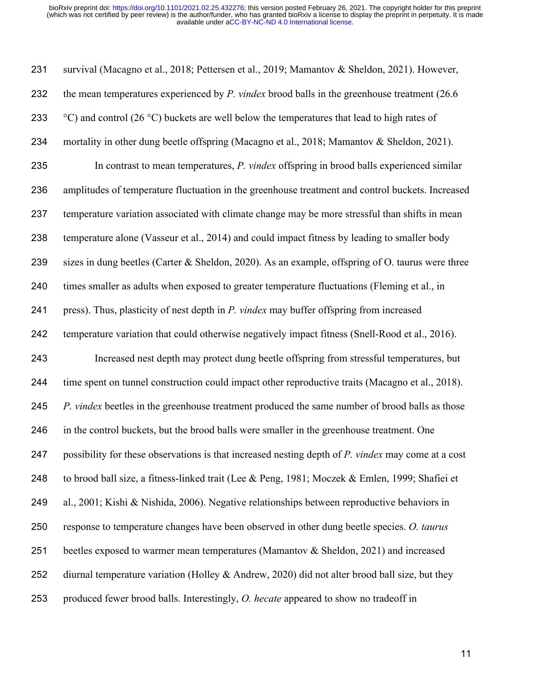survival (Macagno et al., 2018; Pettersen et al., 2019; Mamantov & Sheldon, 2021). However, the mean temperatures experienced by *P. vindex* brood balls in the greenhouse treatment (26.6  $\degree$  °C) and control (26 °C) buckets are well below the temperatures that lead to high rates of mortality in other dung beetle offspring (Macagno et al., 2018; Mamantov & Sheldon, 2021). In contrast to mean temperatures, *P. vindex* offspring in brood balls experienced similar amplitudes of temperature fluctuation in the greenhouse treatment and control buckets. Increased temperature variation associated with climate change may be more stressful than shifts in mean temperature alone (Vasseur et al., 2014) and could impact fitness by leading to smaller body 239 sizes in dung beetles (Carter & Sheldon, 2020). As an example, offspring of O. taurus were three times smaller as adults when exposed to greater temperature fluctuations (Fleming et al., in press). Thus, plasticity of nest depth in *P. vindex* may buffer offspring from increased temperature variation that could otherwise negatively impact fitness (Snell-Rood et al., 2016). Increased nest depth may protect dung beetle offspring from stressful temperatures, but time spent on tunnel construction could impact other reproductive traits (Macagno et al., 2018). *P. vindex* beetles in the greenhouse treatment produced the same number of brood balls as those in the control buckets, but the brood balls were smaller in the greenhouse treatment. One possibility for these observations is that increased nesting depth of *P. vindex* may come at a cost to brood ball size, a fitness-linked trait (Lee & Peng, 1981; Moczek & Emlen, 1999; Shafiei et al., 2001; Kishi & Nishida, 2006). Negative relationships between reproductive behaviors in response to temperature changes have been observed in other dung beetle species. *O. taurus* beetles exposed to warmer mean temperatures (Mamantov & Sheldon, 2021) and increased 252 diurnal temperature variation (Holley & Andrew, 2020) did not alter brood ball size, but they produced fewer brood balls. Interestingly, *O. hecate* appeared to show no tradeoff in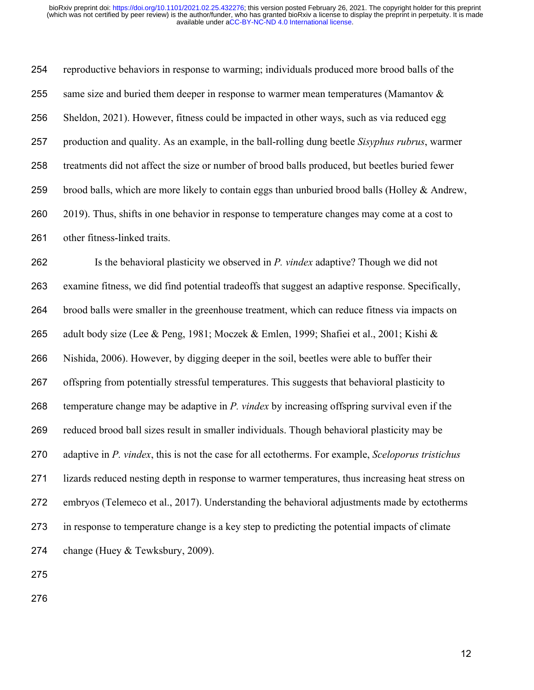reproductive behaviors in response to warming; individuals produced more brood balls of the 255 same size and buried them deeper in response to warmer mean temperatures (Mamantov  $\&$  Sheldon, 2021). However, fitness could be impacted in other ways, such as via reduced egg production and quality. As an example, in the ball-rolling dung beetle *Sisyphus rubrus*, warmer treatments did not affect the size or number of brood balls produced, but beetles buried fewer 259 brood balls, which are more likely to contain eggs than unburied brood balls (Holley & Andrew, 2019). Thus, shifts in one behavior in response to temperature changes may come at a cost to other fitness-linked traits.

 Is the behavioral plasticity we observed in *P. vindex* adaptive? Though we did not examine fitness, we did find potential tradeoffs that suggest an adaptive response. Specifically, brood balls were smaller in the greenhouse treatment, which can reduce fitness via impacts on adult body size (Lee & Peng, 1981; Moczek & Emlen, 1999; Shafiei et al., 2001; Kishi & Nishida, 2006). However, by digging deeper in the soil, beetles were able to buffer their offspring from potentially stressful temperatures. This suggests that behavioral plasticity to temperature change may be adaptive in *P. vindex* by increasing offspring survival even if the reduced brood ball sizes result in smaller individuals. Though behavioral plasticity may be adaptive in *P. vindex*, this is not the case for all ectotherms. For example, *Sceloporus tristichus* lizards reduced nesting depth in response to warmer temperatures, thus increasing heat stress on embryos (Telemeco et al., 2017). Understanding the behavioral adjustments made by ectotherms in response to temperature change is a key step to predicting the potential impacts of climate change (Huey & Tewksbury, 2009).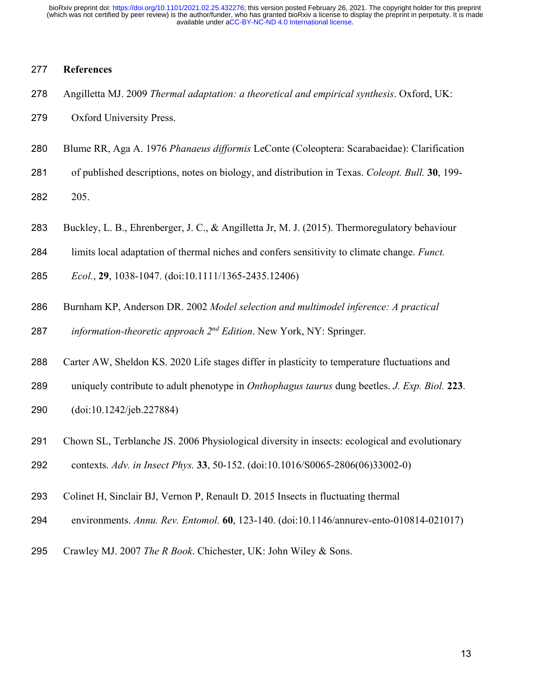### **References**

- Angilletta MJ. 2009 *Thermal adaptation: a theoretical and empirical synthesis*. Oxford, UK:
- Oxford University Press.
- Blume RR, Aga A. 1976 *Phanaeus difformis* LeConte (Coleoptera: Scarabaeidae): Clarification
- of published descriptions, notes on biology, and distribution in Texas. *Coleopt. Bull.* **30**, 199-
- 205.
- Buckley, L. B., Ehrenberger, J. C., & Angilletta Jr, M. J. (2015). Thermoregulatory behaviour
- limits local adaptation of thermal niches and confers sensitivity to climate change. *Funct.*
- *Ecol.*, **29**, 1038-1047. (doi:10.1111/1365-2435.12406)
- Burnham KP, Anderson DR. 2002 *Model selection and multimodel inference: A practical*  287 *information-theoretic approach 2<sup>nd</sup> Edition*. New York, NY: Springer.
- Carter AW, Sheldon KS. 2020 Life stages differ in plasticity to temperature fluctuations and
- uniquely contribute to adult phenotype in *Onthophagus taurus* dung beetles. *J. Exp. Biol.* **223**.
- (doi:10.1242/jeb.227884)
- Chown SL, Terblanche JS. 2006 Physiological diversity in insects: ecological and evolutionary
- contexts. *Adv. in Insect Phys.* **33**, 50-152. (doi:10.1016/S0065-2806(06)33002-0)
- Colinet H, Sinclair BJ, Vernon P, Renault D. 2015 Insects in fluctuating thermal
- environments. *Annu. Rev. Entomol.* **60**, 123-140. (doi:10.1146/annurev-ento-010814-021017)
- Crawley MJ. 2007 *The R Book*. Chichester, UK: John Wiley & Sons.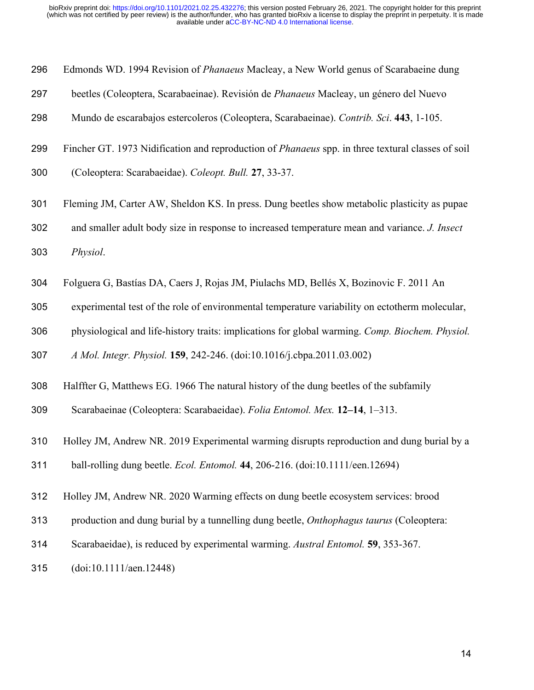- Edmonds WD. 1994 Revision of *Phanaeus* Macleay, a New World genus of Scarabaeine dung
- beetles (Coleoptera, Scarabaeinae). Revisión de *Phanaeus* Macleay, un género del Nuevo
- Mundo de escarabajos estercoleros (Coleoptera, Scarabaeinae). *Contrib. Sci*. **443**, 1-105.
- Fincher GT. 1973 Nidification and reproduction of *Phanaeus* spp. in three textural classes of soil
- (Coleoptera: Scarabaeidae). *Coleopt. Bull.* **27**, 33-37.
- Fleming JM, Carter AW, Sheldon KS. In press. Dung beetles show metabolic plasticity as pupae
- and smaller adult body size in response to increased temperature mean and variance. *J. Insect*
- *Physiol*.
- Folguera G, Bastías DA, Caers J, Rojas JM, Piulachs MD, Bellés X, Bozinovic F. 2011 An
- experimental test of the role of environmental temperature variability on ectotherm molecular,
- physiological and life-history traits: implications for global warming. *Comp. Biochem. Physiol.*

*A Mol. Integr. Physiol.* **159**, 242-246. (doi:10.1016/j.cbpa.2011.03.002)

- Halffter G, Matthews EG. 1966 The natural history of the dung beetles of the subfamily
- Scarabaeinae (Coleoptera: Scarabaeidae). *Folia Entomol. Mex.* **12–14**, 1–313.
- Holley JM, Andrew NR. 2019 Experimental warming disrupts reproduction and dung burial by a

ball‐rolling dung beetle. *Ecol. Entomol.* **44**, 206-216. (doi:10.1111/een.12694)

- Holley JM, Andrew NR. 2020 Warming effects on dung beetle ecosystem services: brood
- production and dung burial by a tunnelling dung beetle, *Onthophagus taurus* (Coleoptera:
- Scarabaeidae), is reduced by experimental warming. *Austral Entomol.* **59**, 353-367.
- (doi:10.1111/aen.12448)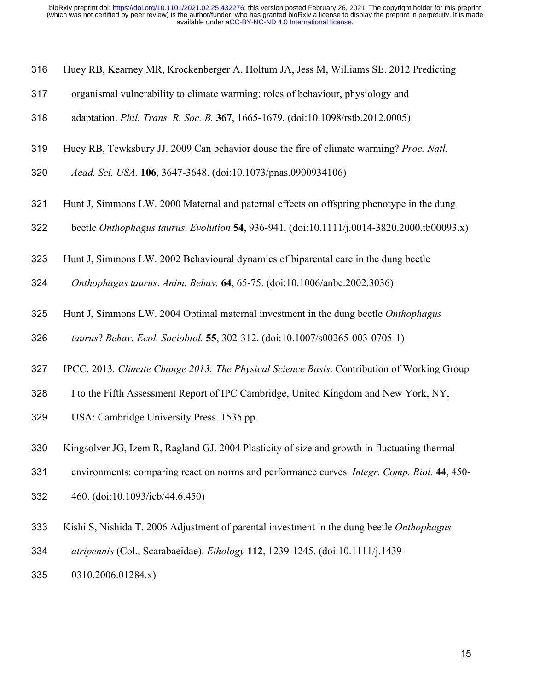- Huey RB, Kearney MR, Krockenberger A, Holtum JA, Jess M, Williams SE. 2012 Predicting
- organismal vulnerability to climate warming: roles of behaviour, physiology and
- adaptation. *Phil. Trans. R. Soc. B.* **367**, 1665-1679. (doi:10.1098/rstb.2012.0005)
- Huey RB, Tewksbury JJ. 2009 Can behavior douse the fire of climate warming? *Proc. Natl.*
- *Acad. Sci. USA.* **106**, 3647-3648. (doi:10.1073/pnas.0900934106)
- Hunt J, Simmons LW. 2000 Maternal and paternal effects on offspring phenotype in the dung
- beetle *Onthophagus taurus*. *Evolution* **54**, 936-941. (doi:10.1111/j.0014-3820.2000.tb00093.x)
- Hunt J, Simmons LW. 2002 Behavioural dynamics of biparental care in the dung beetle
- *Onthophagus taurus*. *Anim. Behav.* **64**, 65-75. (doi:10.1006/anbe.2002.3036)
- Hunt J, Simmons LW. 2004 Optimal maternal investment in the dung beetle *Onthophagus*
- *taurus*? *Behav. Ecol. Sociobiol.* **55**, 302-312. (doi:10.1007/s00265-003-0705-1)
- IPCC. 2013*. Climate Change 2013: The Physical Science Basis*. Contribution of Working Group
- I to the Fifth Assessment Report of IPC Cambridge, United Kingdom and New York, NY,
- USA: Cambridge University Press. 1535 pp.
- Kingsolver JG, Izem R, Ragland GJ. 2004 Plasticity of size and growth in fluctuating thermal
- environments: comparing reaction norms and performance curves. *Integr. Comp. Biol.* **44**, 450-
- 460. (doi:10.1093/icb/44.6.450)
- Kishi S, Nishida T. 2006 Adjustment of parental investment in the dung beetle *Onthophagus*
- *atripennis* (Col., Scarabaeidae). *Ethology* **112**, 1239-1245. (doi:10.1111/j.1439-
- 0310.2006.01284.x)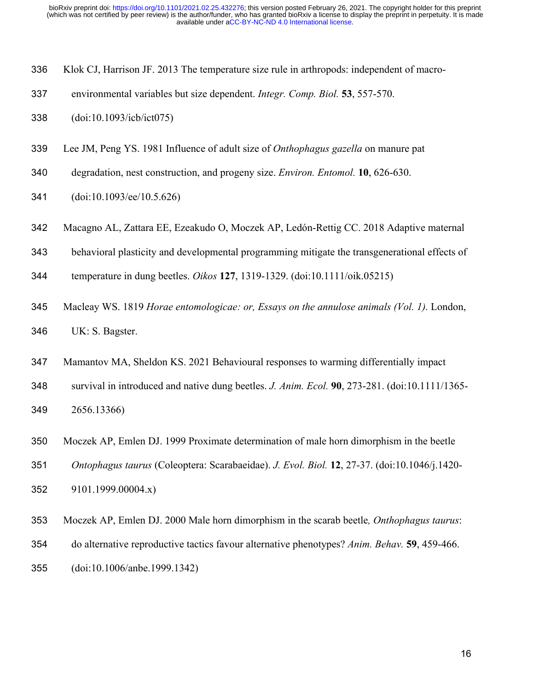|  | 336 Klok CJ, Harrison JF. 2013 The temperature size rule in arthropods: independent of macro- |  |  |
|--|-----------------------------------------------------------------------------------------------|--|--|
|  |                                                                                               |  |  |

- environmental variables but size dependent. *Integr. Comp. Biol.* **53**, 557-570.
- (doi:10.1093/icb/ict075)
- Lee JM, Peng YS. 1981 Influence of adult size of *Onthophagus gazella* on manure pat
- degradation, nest construction, and progeny size. *Environ. Entomol.* **10**, 626-630.
- (doi:10.1093/ee/10.5.626)
- Macagno AL, Zattara EE, Ezeakudo O, Moczek AP, Ledón-Rettig CC. 2018 Adaptive maternal
- behavioral plasticity and developmental programming mitigate the transgenerational effects of
- temperature in dung beetles. *Oikos* **127**, 1319-1329. (doi:10.1111/oik.05215)
- Macleay WS. 1819 *Horae entomologicae: or, Essays on the annulose animals (Vol. 1).* London, UK: S. Bagster.
- Mamantov MA, Sheldon KS. 2021 Behavioural responses to warming differentially impact
- survival in introduced and native dung beetles. *J. Anim. Ecol.* **90**, 273-281. (doi:10.1111/1365- 2656.13366)
- Moczek AP, Emlen DJ. 1999 Proximate determination of male horn dimorphism in the beetle
- *Ontophagus taurus* (Coleoptera: Scarabaeidae). *J. Evol. Biol.* **12**, 27-37. (doi:10.1046/j.1420-
- 9101.1999.00004.x)
- Moczek AP, Emlen DJ. 2000 Male horn dimorphism in the scarab beetle*, Onthophagus taurus*:
- do alternative reproductive tactics favour alternative phenotypes? *Anim. Behav.* **59**, 459-466.
- (doi:10.1006/anbe.1999.1342)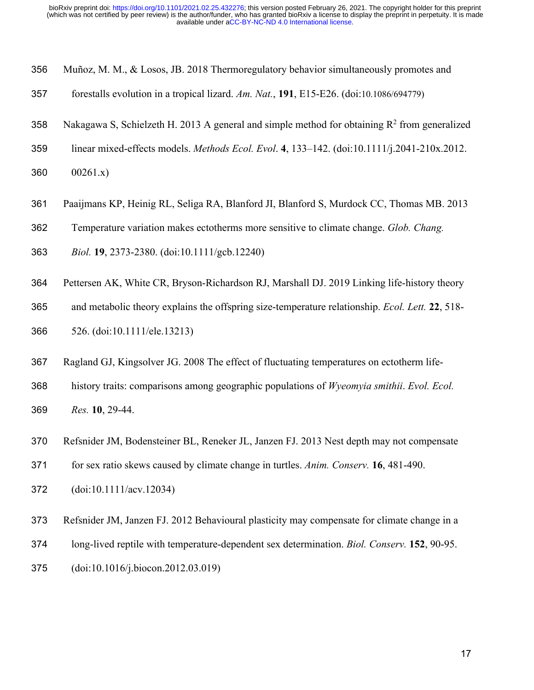- Muñoz, M. M., & Losos, JB. 2018 Thermoregulatory behavior simultaneously promotes and
- forestalls evolution in a tropical lizard. *Am. Nat.*, **191**, E15-E26. (doi:10.1086/694779)
- 358 Nakagawa S, Schielzeth H. 2013 A general and simple method for obtaining  $R^2$  from generalized
- linear mixed-effects models. *Methods Ecol. Evol*. **4**, 133–142. (doi:10.1111/j.2041-210x.2012.
- 00261.x)
- Paaijmans KP, Heinig RL, Seliga RA, Blanford JI, Blanford S, Murdock CC, Thomas MB. 2013
- Temperature variation makes ectotherms more sensitive to climate change. *Glob. Chang.*
- *Biol.* **19**, 2373-2380. (doi:10.1111/gcb.12240)
- 364 Pettersen AK, White CR, Bryson-Richardson RJ, Marshall DJ. 2019 Linking life-history theory
- and metabolic theory explains the offspring size‐temperature relationship. *Ecol. Lett.* **22**, 518- 526. (doi:10.1111/ele.13213)
- Ragland GJ, Kingsolver JG. 2008 The effect of fluctuating temperatures on ectotherm life-
- history traits: comparisons among geographic populations of *Wyeomyia smithii*. *Evol. Ecol. Res.* **10**, 29-44.
- Refsnider JM, Bodensteiner BL, Reneker JL, Janzen FJ. 2013 Nest depth may not compensate
- for sex ratio skews caused by climate change in turtles. *Anim. Conserv.* **16**, 481-490.
- (doi:10.1111/acv.12034)
- Refsnider JM, Janzen FJ. 2012 Behavioural plasticity may compensate for climate change in a
- long-lived reptile with temperature-dependent sex determination. *Biol. Conserv.* **152**, 90-95.
- (doi:10.1016/j.biocon.2012.03.019)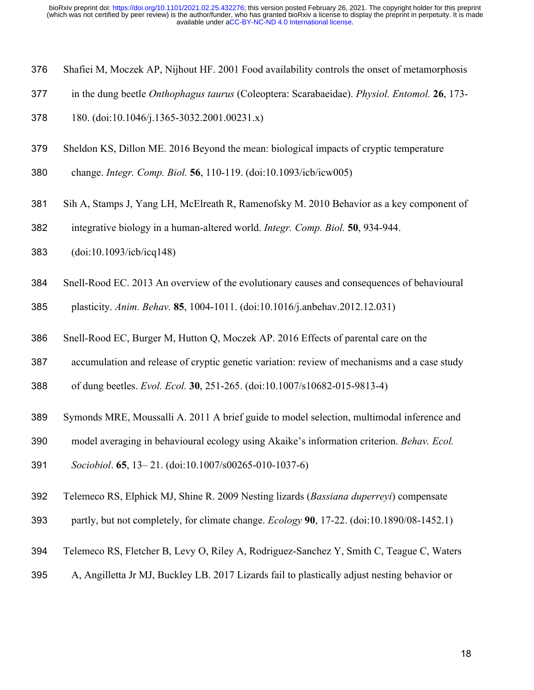- Shafiei M, Moczek AP, Nijhout HF. 2001 Food availability controls the onset of metamorphosis
- in the dung beetle *Onthophagus taurus* (Coleoptera: Scarabaeidae). *Physiol. Entomol.* **26**, 173-
- 180. (doi:10.1046/j.1365-3032.2001.00231.x)
- Sheldon KS, Dillon ME. 2016 Beyond the mean: biological impacts of cryptic temperature
- change. *Integr. Comp. Biol.* **56**, 110-119. (doi:10.1093/icb/icw005)
- Sih A, Stamps J, Yang LH, McElreath R, Ramenofsky M. 2010 Behavior as a key component of
- integrative biology in a human-altered world. *Integr. Comp. Biol.* **50**, 934-944.
- (doi:10.1093/icb/icq148)
- Snell-Rood EC. 2013 An overview of the evolutionary causes and consequences of behavioural

plasticity. *Anim. Behav.* **85**, 1004-1011. (doi:10.1016/j.anbehav.2012.12.031)

- Snell-Rood EC, Burger M, Hutton Q, Moczek AP. 2016 Effects of parental care on the
- accumulation and release of cryptic genetic variation: review of mechanisms and a case study

of dung beetles. *Evol. Ecol.* **30**, 251-265. (doi:10.1007/s10682-015-9813-4)

- Symonds MRE, Moussalli A. 2011 A brief guide to model selection, multimodal inference and
- model averaging in behavioural ecology using Akaike's information criterion. *Behav. Ecol.*
- *Sociobiol*. **65**, 13– 21. (doi:10.1007/s00265-010-1037-6)
- Telemeco RS, Elphick MJ, Shine R. 2009 Nesting lizards (*Bassiana duperreyi*) compensate
- partly, but not completely, for climate change. *Ecology* **90**, 17-22. (doi:10.1890/08-1452.1)
- Telemeco RS, Fletcher B, Levy O, Riley A, Rodriguez‐Sanchez Y, Smith C, Teague C, Waters
- A, Angilletta Jr MJ, Buckley LB. 2017 Lizards fail to plastically adjust nesting behavior or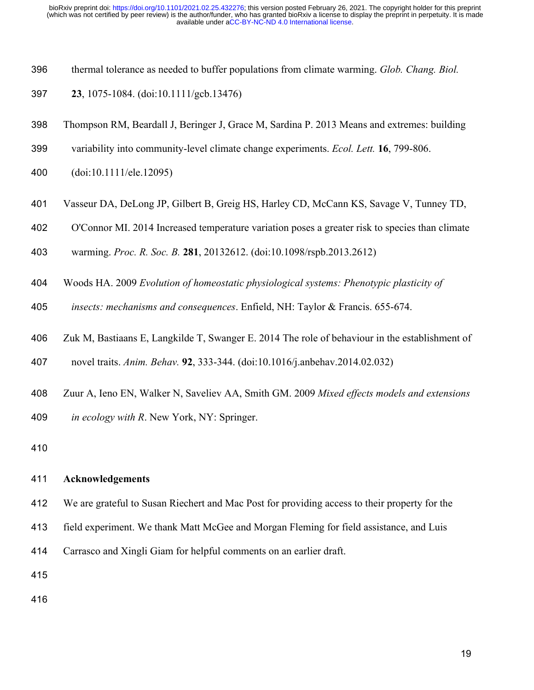- thermal tolerance as needed to buffer populations from climate warming. *Glob. Chang. Biol.*
- **23**, 1075-1084. (doi:10.1111/gcb.13476)
- Thompson RM, Beardall J, Beringer J, Grace M, Sardina P. 2013 Means and extremes: building
- variability into community‐level climate change experiments. *Ecol. Lett.* **16**, 799-806.
- (doi:10.1111/ele.12095)
- Vasseur DA, DeLong JP, Gilbert B, Greig HS, Harley CD, McCann KS, Savage V, Tunney TD,
- O'Connor MI. 2014 Increased temperature variation poses a greater risk to species than climate
- warming. *Proc. R. Soc. B.* **281**, 20132612. (doi:10.1098/rspb.2013.2612)
- Woods HA. 2009 *Evolution of homeostatic physiological systems: Phenotypic plasticity of*
- *insects: mechanisms and consequences*. Enfield, NH: Taylor & Francis. 655-674.
- Zuk M, Bastiaans E, Langkilde T, Swanger E. 2014 The role of behaviour in the establishment of

novel traits. *Anim. Behav.* **92**, 333-344. (doi:10.1016/j.anbehav.2014.02.032)

 Zuur A, Ieno EN, Walker N, Saveliev AA, Smith GM. 2009 *Mixed effects models and extensions in ecology with R*. New York, NY: Springer.

#### **Acknowledgements**

- We are grateful to Susan Riechert and Mac Post for providing access to their property for the
- field experiment. We thank Matt McGee and Morgan Fleming for field assistance, and Luis
- Carrasco and Xingli Giam for helpful comments on an earlier draft.
- 
-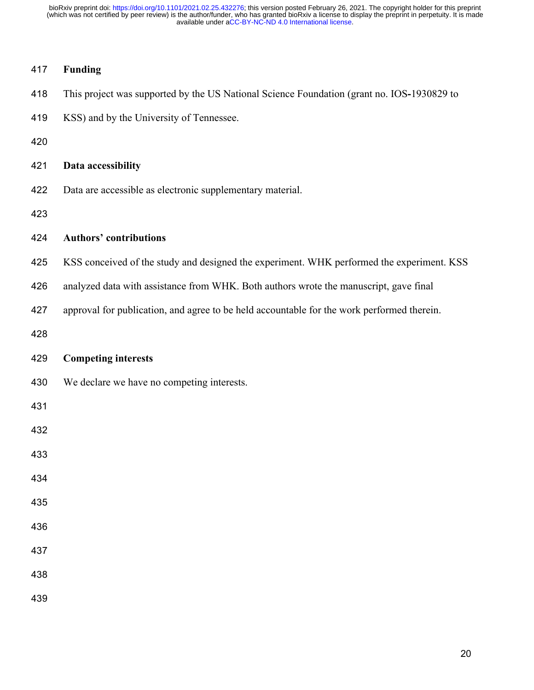# **Funding**

| 418 | This project was supported by the US National Science Foundation (grant no. IOS-1930829 to |
|-----|--------------------------------------------------------------------------------------------|
| 419 | KSS) and by the University of Tennessee.                                                   |
| 420 |                                                                                            |
| 421 | Data accessibility                                                                         |
| 422 | Data are accessible as electronic supplementary material.                                  |
| 423 |                                                                                            |
| 424 | <b>Authors' contributions</b>                                                              |
| 425 | KSS conceived of the study and designed the experiment. WHK performed the experiment. KSS  |
| 426 | analyzed data with assistance from WHK. Both authors wrote the manuscript, gave final      |
| 427 | approval for publication, and agree to be held accountable for the work performed therein. |
| 428 |                                                                                            |
| 429 | <b>Competing interests</b>                                                                 |
| 430 | We declare we have no competing interests.                                                 |
|     |                                                                                            |
| 431 |                                                                                            |
| 432 |                                                                                            |
| 433 |                                                                                            |
| 434 |                                                                                            |
| 435 |                                                                                            |
| 436 |                                                                                            |
| 437 |                                                                                            |
| 438 |                                                                                            |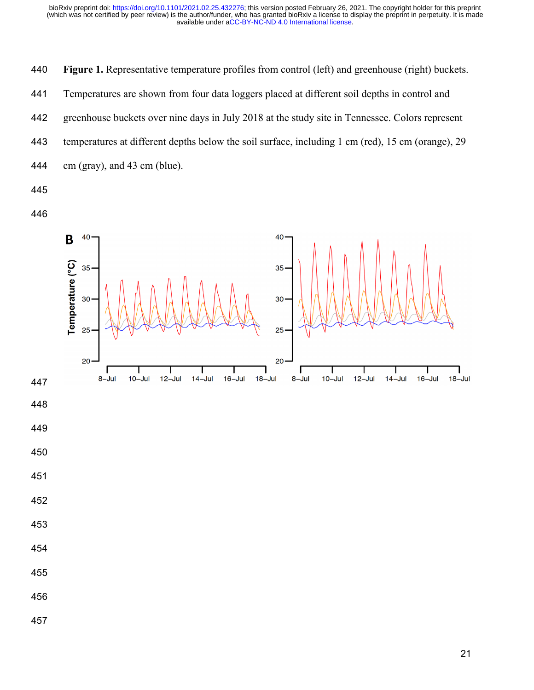**Figure 1.** Representative temperature profiles from control (left) and greenhouse (right) buckets. Temperatures are shown from four data loggers placed at different soil depths in control and greenhouse buckets over nine days in July 2018 at the study site in Tennessee. Colors represent temperatures at different depths below the soil surface, including 1 cm (red), 15 cm (orange), 29 cm (gray), and 43 cm (blue). 



- 
- 
-